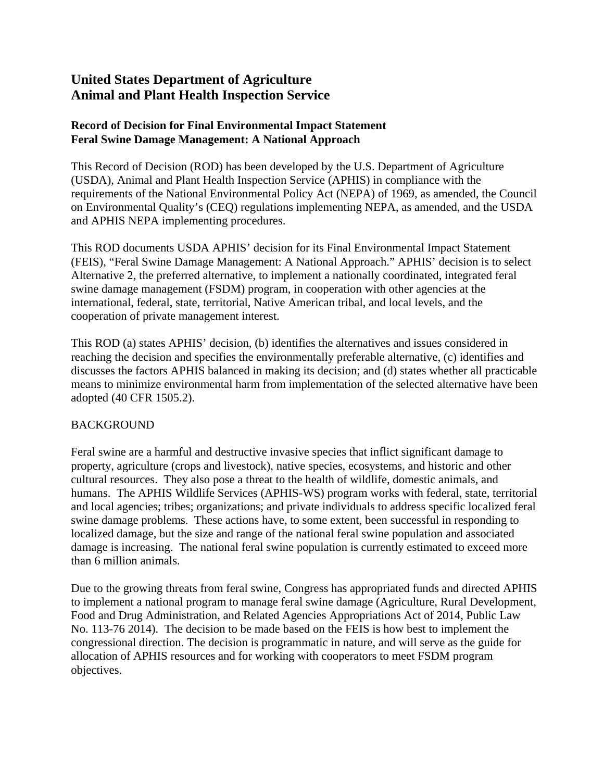# **United States Department of Agriculture Animal and Plant Health Inspection Service**

## **Record of Decision for Final Environmental Impact Statement Feral Swine Damage Management: A National Approach**

This Record of Decision (ROD) has been developed by the U.S. Department of Agriculture (USDA), Animal and Plant Health Inspection Service (APHIS) in compliance with the requirements of the National Environmental Policy Act (NEPA) of 1969, as amended, the Council on Environmental Quality's (CEQ) regulations implementing NEPA, as amended, and the USDA and APHIS NEPA implementing procedures.

This ROD documents USDA APHIS' decision for its Final Environmental Impact Statement (FEIS), "Feral Swine Damage Management: A National Approach." APHIS' decision is to select Alternative 2, the preferred alternative, to implement a nationally coordinated, integrated feral swine damage management (FSDM) program, in cooperation with other agencies at the international, federal, state, territorial, Native American tribal, and local levels, and the cooperation of private management interest.

This ROD (a) states APHIS' decision, (b) identifies the alternatives and issues considered in reaching the decision and specifies the environmentally preferable alternative, (c) identifies and discusses the factors APHIS balanced in making its decision; and (d) states whether all practicable means to minimize environmental harm from implementation of the selected alternative have been adopted (40 CFR 1505.2).

## **BACKGROUND**

Feral swine are a harmful and destructive invasive species that inflict significant damage to property, agriculture (crops and livestock), native species, ecosystems, and historic and other cultural resources. They also pose a threat to the health of wildlife, domestic animals, and humans. The APHIS Wildlife Services (APHIS-WS) program works with federal, state, territorial and local agencies; tribes; organizations; and private individuals to address specific localized feral swine damage problems. These actions have, to some extent, been successful in responding to localized damage, but the size and range of the national feral swine population and associated damage is increasing. The national feral swine population is currently estimated to exceed more than 6 million animals.

Due to the growing threats from feral swine, Congress has appropriated funds and directed APHIS to implement a national program to manage feral swine damage (Agriculture, Rural Development, Food and Drug Administration, and Related Agencies Appropriations Act of 2014, Public Law No. 113-76 2014). The decision to be made based on the FEIS is how best to implement the congressional direction. The decision is programmatic in nature, and will serve as the guide for allocation of APHIS resources and for working with cooperators to meet FSDM program objectives.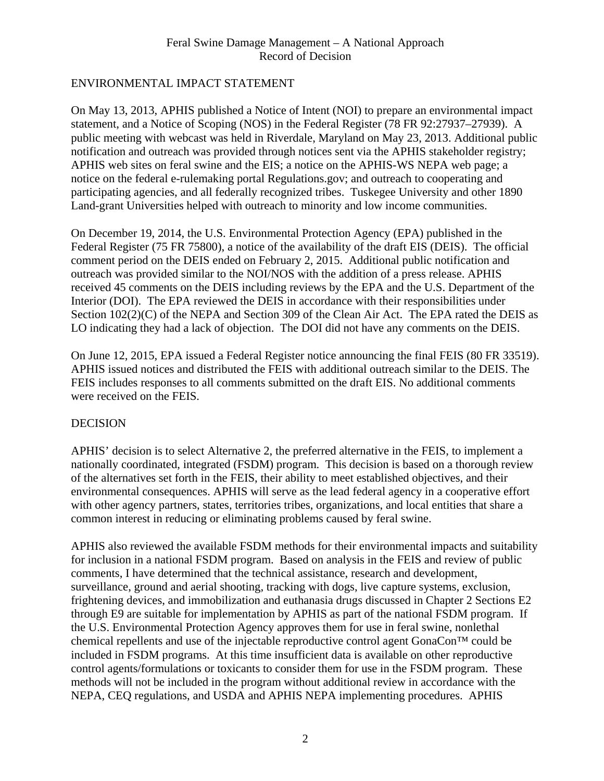## ENVIRONMENTAL IMPACT STATEMENT

On May 13, 2013, APHIS published a Notice of Intent (NOI) to prepare an environmental impact statement, and a Notice of Scoping (NOS) in the Federal Register (78 FR 92:27937–27939). A public meeting with webcast was held in Riverdale, Maryland on May 23, 2013. Additional public notification and outreach was provided through notices sent via the APHIS stakeholder registry; APHIS web sites on feral swine and the EIS; a notice on the APHIS-WS NEPA web page; a notice on the federal e-rulemaking portal Regulations.gov; and outreach to cooperating and participating agencies, and all federally recognized tribes. Tuskegee University and other 1890 Land-grant Universities helped with outreach to minority and low income communities.

On December 19, 2014, the U.S. Environmental Protection Agency (EPA) published in the Federal Register (75 FR 75800), a notice of the availability of the draft EIS (DEIS). The official comment period on the DEIS ended on February 2, 2015. Additional public notification and outreach was provided similar to the NOI/NOS with the addition of a press release. APHIS received 45 comments on the DEIS including reviews by the EPA and the U.S. Department of the Interior (DOI). The EPA reviewed the DEIS in accordance with their responsibilities under Section  $102(2)(C)$  of the NEPA and Section 309 of the Clean Air Act. The EPA rated the DEIS as LO indicating they had a lack of objection. The DOI did not have any comments on the DEIS.

On June 12, 2015, EPA issued a Federal Register notice announcing the final FEIS (80 FR 33519). APHIS issued notices and distributed the FEIS with additional outreach similar to the DEIS. The FEIS includes responses to all comments submitted on the draft EIS. No additional comments were received on the FEIS.

## DECISION

APHIS' decision is to select Alternative 2, the preferred alternative in the FEIS, to implement a nationally coordinated, integrated (FSDM) program. This decision is based on a thorough review of the alternatives set forth in the FEIS, their ability to meet established objectives, and their environmental consequences. APHIS will serve as the lead federal agency in a cooperative effort with other agency partners, states, territories tribes, organizations, and local entities that share a common interest in reducing or eliminating problems caused by feral swine.

APHIS also reviewed the available FSDM methods for their environmental impacts and suitability for inclusion in a national FSDM program. Based on analysis in the FEIS and review of public comments, I have determined that the technical assistance, research and development, surveillance, ground and aerial shooting, tracking with dogs, live capture systems, exclusion, frightening devices, and immobilization and euthanasia drugs discussed in Chapter 2 Sections E2 through E9 are suitable for implementation by APHIS as part of the national FSDM program. If the U.S. Environmental Protection Agency approves them for use in feral swine, nonlethal chemical repellents and use of the injectable reproductive control agent GonaCon™ could be included in FSDM programs. At this time insufficient data is available on other reproductive control agents/formulations or toxicants to consider them for use in the FSDM program. These methods will not be included in the program without additional review in accordance with the NEPA, CEQ regulations, and USDA and APHIS NEPA implementing procedures. APHIS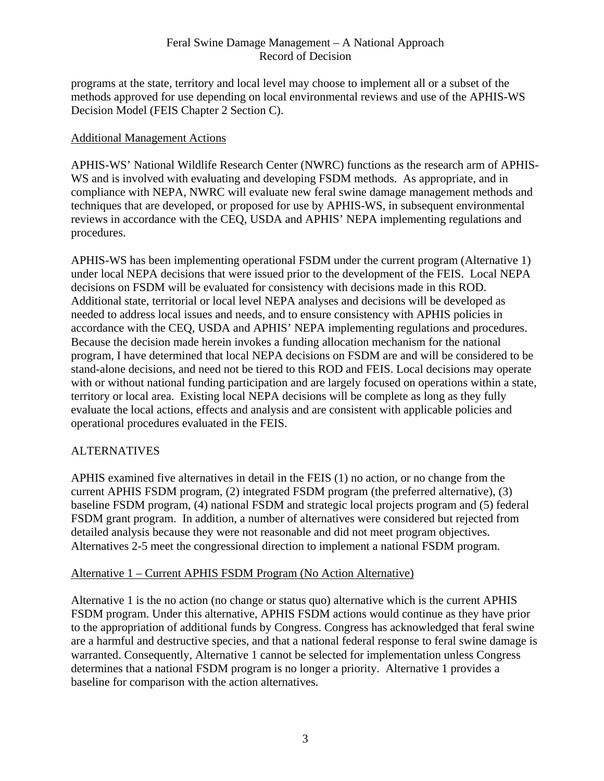programs at the state, territory and local level may choose to implement all or a subset of the methods approved for use depending on local environmental reviews and use of the APHIS-WS Decision Model (FEIS Chapter 2 Section C).

## Additional Management Actions

APHIS-WS' National Wildlife Research Center (NWRC) functions as the research arm of APHIS-WS and is involved with evaluating and developing FSDM methods. As appropriate, and in compliance with NEPA, NWRC will evaluate new feral swine damage management methods and techniques that are developed, or proposed for use by APHIS-WS, in subsequent environmental reviews in accordance with the CEQ, USDA and APHIS' NEPA implementing regulations and procedures.

APHIS-WS has been implementing operational FSDM under the current program (Alternative 1) under local NEPA decisions that were issued prior to the development of the FEIS. Local NEPA decisions on FSDM will be evaluated for consistency with decisions made in this ROD. Additional state, territorial or local level NEPA analyses and decisions will be developed as needed to address local issues and needs, and to ensure consistency with APHIS policies in accordance with the CEQ, USDA and APHIS' NEPA implementing regulations and procedures. Because the decision made herein invokes a funding allocation mechanism for the national program, I have determined that local NEPA decisions on FSDM are and will be considered to be stand-alone decisions, and need not be tiered to this ROD and FEIS. Local decisions may operate with or without national funding participation and are largely focused on operations within a state, territory or local area. Existing local NEPA decisions will be complete as long as they fully evaluate the local actions, effects and analysis and are consistent with applicable policies and operational procedures evaluated in the FEIS.

## **ALTERNATIVES**

APHIS examined five alternatives in detail in the FEIS (1) no action, or no change from the current APHIS FSDM program, (2) integrated FSDM program (the preferred alternative), (3) baseline FSDM program, (4) national FSDM and strategic local projects program and (5) federal FSDM grant program. In addition, a number of alternatives were considered but rejected from detailed analysis because they were not reasonable and did not meet program objectives. Alternatives 2-5 meet the congressional direction to implement a national FSDM program.

## Alternative 1 – Current APHIS FSDM Program (No Action Alternative)

Alternative 1 is the no action (no change or status quo) alternative which is the current APHIS FSDM program. Under this alternative, APHIS FSDM actions would continue as they have prior to the appropriation of additional funds by Congress. Congress has acknowledged that feral swine are a harmful and destructive species, and that a national federal response to feral swine damage is warranted. Consequently, Alternative 1 cannot be selected for implementation unless Congress determines that a national FSDM program is no longer a priority. Alternative 1 provides a baseline for comparison with the action alternatives.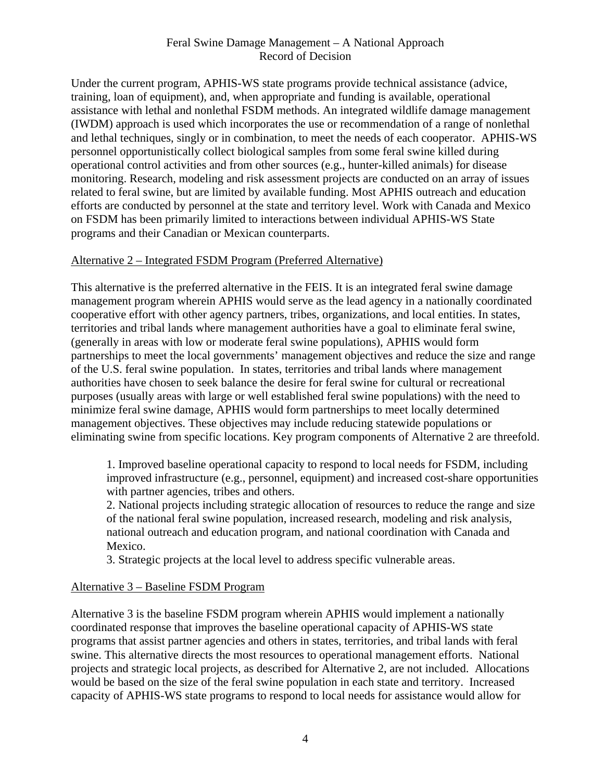Under the current program, APHIS-WS state programs provide technical assistance (advice, training, loan of equipment), and, when appropriate and funding is available, operational assistance with lethal and nonlethal FSDM methods. An integrated wildlife damage management (IWDM) approach is used which incorporates the use or recommendation of a range of nonlethal and lethal techniques, singly or in combination, to meet the needs of each cooperator. APHIS-WS personnel opportunistically collect biological samples from some feral swine killed during operational control activities and from other sources (e.g., hunter-killed animals) for disease monitoring. Research, modeling and risk assessment projects are conducted on an array of issues related to feral swine, but are limited by available funding. Most APHIS outreach and education efforts are conducted by personnel at the state and territory level. Work with Canada and Mexico on FSDM has been primarily limited to interactions between individual APHIS-WS State programs and their Canadian or Mexican counterparts.

#### Alternative 2 – Integrated FSDM Program (Preferred Alternative)

This alternative is the preferred alternative in the FEIS. It is an integrated feral swine damage management program wherein APHIS would serve as the lead agency in a nationally coordinated cooperative effort with other agency partners, tribes, organizations, and local entities. In states, territories and tribal lands where management authorities have a goal to eliminate feral swine, (generally in areas with low or moderate feral swine populations), APHIS would form partnerships to meet the local governments' management objectives and reduce the size and range of the U.S. feral swine population. In states, territories and tribal lands where management authorities have chosen to seek balance the desire for feral swine for cultural or recreational purposes (usually areas with large or well established feral swine populations) with the need to minimize feral swine damage, APHIS would form partnerships to meet locally determined management objectives. These objectives may include reducing statewide populations or eliminating swine from specific locations. Key program components of Alternative 2 are threefold.

1. Improved baseline operational capacity to respond to local needs for FSDM, including improved infrastructure (e.g., personnel, equipment) and increased cost-share opportunities with partner agencies, tribes and others.

2. National projects including strategic allocation of resources to reduce the range and size of the national feral swine population, increased research, modeling and risk analysis, national outreach and education program, and national coordination with Canada and Mexico.

3. Strategic projects at the local level to address specific vulnerable areas.

#### Alternative 3 – Baseline FSDM Program

Alternative 3 is the baseline FSDM program wherein APHIS would implement a nationally coordinated response that improves the baseline operational capacity of APHIS-WS state programs that assist partner agencies and others in states, territories, and tribal lands with feral swine. This alternative directs the most resources to operational management efforts. National projects and strategic local projects, as described for Alternative 2, are not included. Allocations would be based on the size of the feral swine population in each state and territory. Increased capacity of APHIS-WS state programs to respond to local needs for assistance would allow for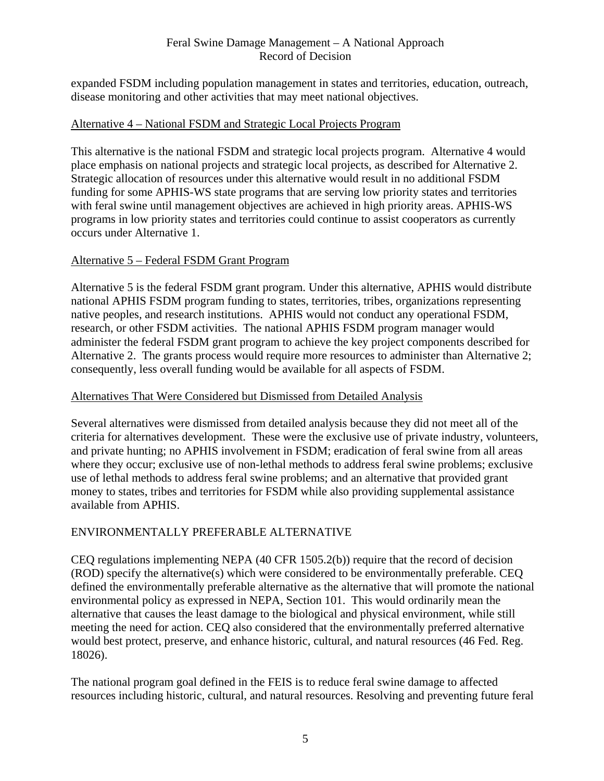expanded FSDM including population management in states and territories, education, outreach, disease monitoring and other activities that may meet national objectives.

#### Alternative 4 – National FSDM and Strategic Local Projects Program

This alternative is the national FSDM and strategic local projects program. Alternative 4 would place emphasis on national projects and strategic local projects, as described for Alternative 2. Strategic allocation of resources under this alternative would result in no additional FSDM funding for some APHIS-WS state programs that are serving low priority states and territories with feral swine until management objectives are achieved in high priority areas. APHIS-WS programs in low priority states and territories could continue to assist cooperators as currently occurs under Alternative 1.

#### Alternative 5 – Federal FSDM Grant Program

Alternative 5 is the federal FSDM grant program. Under this alternative, APHIS would distribute national APHIS FSDM program funding to states, territories, tribes, organizations representing native peoples, and research institutions. APHIS would not conduct any operational FSDM, research, or other FSDM activities. The national APHIS FSDM program manager would administer the federal FSDM grant program to achieve the key project components described for Alternative 2. The grants process would require more resources to administer than Alternative 2; consequently, less overall funding would be available for all aspects of FSDM.

#### Alternatives That Were Considered but Dismissed from Detailed Analysis

Several alternatives were dismissed from detailed analysis because they did not meet all of the criteria for alternatives development. These were the exclusive use of private industry, volunteers, and private hunting; no APHIS involvement in FSDM; eradication of feral swine from all areas where they occur; exclusive use of non-lethal methods to address feral swine problems; exclusive use of lethal methods to address feral swine problems; and an alternative that provided grant money to states, tribes and territories for FSDM while also providing supplemental assistance available from APHIS.

## ENVIRONMENTALLY PREFERABLE ALTERNATIVE

CEQ regulations implementing NEPA (40 CFR 1505.2(b)) require that the record of decision (ROD) specify the alternative(s) which were considered to be environmentally preferable. CEQ defined the environmentally preferable alternative as the alternative that will promote the national environmental policy as expressed in NEPA, Section 101. This would ordinarily mean the alternative that causes the least damage to the biological and physical environment, while still meeting the need for action. CEQ also considered that the environmentally preferred alternative would best protect, preserve, and enhance historic, cultural, and natural resources (46 Fed. Reg. 18026).

The national program goal defined in the FEIS is to reduce feral swine damage to affected resources including historic, cultural, and natural resources. Resolving and preventing future feral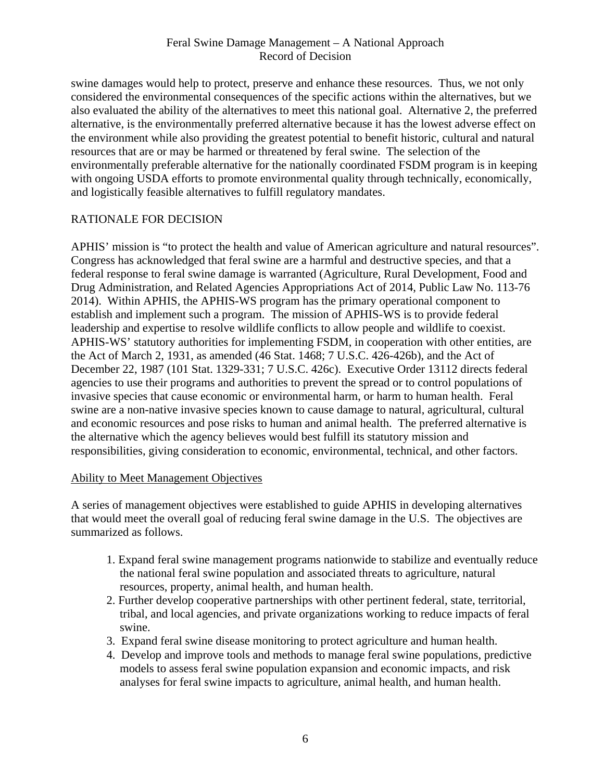swine damages would help to protect, preserve and enhance these resources. Thus, we not only considered the environmental consequences of the specific actions within the alternatives, but we also evaluated the ability of the alternatives to meet this national goal. Alternative 2, the preferred alternative, is the environmentally preferred alternative because it has the lowest adverse effect on the environment while also providing the greatest potential to benefit historic, cultural and natural resources that are or may be harmed or threatened by feral swine. The selection of the environmentally preferable alternative for the nationally coordinated FSDM program is in keeping with ongoing USDA efforts to promote environmental quality through technically, economically, and logistically feasible alternatives to fulfill regulatory mandates.

## RATIONALE FOR DECISION

APHIS' mission is "to protect the health and value of American agriculture and natural resources". Congress has acknowledged that feral swine are a harmful and destructive species, and that a federal response to feral swine damage is warranted (Agriculture, Rural Development, Food and Drug Administration, and Related Agencies Appropriations Act of 2014, Public Law No. 113-76 2014). Within APHIS, the APHIS-WS program has the primary operational component to establish and implement such a program. The mission of APHIS-WS is to provide federal leadership and expertise to resolve wildlife conflicts to allow people and wildlife to coexist. APHIS-WS' statutory authorities for implementing FSDM, in cooperation with other entities, are the Act of March 2, 1931, as amended (46 Stat. 1468; 7 U.S.C. 426-426b), and the Act of December 22, 1987 (101 Stat. 1329-331; 7 U.S.C. 426c). Executive Order 13112 directs federal agencies to use their programs and authorities to prevent the spread or to control populations of invasive species that cause economic or environmental harm, or harm to human health. Feral swine are a non-native invasive species known to cause damage to natural, agricultural, cultural and economic resources and pose risks to human and animal health. The preferred alternative is the alternative which the agency believes would best fulfill its statutory mission and responsibilities, giving consideration to economic, environmental, technical, and other factors.

## Ability to Meet Management Objectives

A series of management objectives were established to guide APHIS in developing alternatives that would meet the overall goal of reducing feral swine damage in the U.S. The objectives are summarized as follows.

- 1. Expand feral swine management programs nationwide to stabilize and eventually reduce the national feral swine population and associated threats to agriculture, natural resources, property, animal health, and human health.
- 2. Further develop cooperative partnerships with other pertinent federal, state, territorial, tribal, and local agencies, and private organizations working to reduce impacts of feral swine.
- 3. Expand feral swine disease monitoring to protect agriculture and human health.
- 4. Develop and improve tools and methods to manage feral swine populations, predictive models to assess feral swine population expansion and economic impacts, and risk analyses for feral swine impacts to agriculture, animal health, and human health.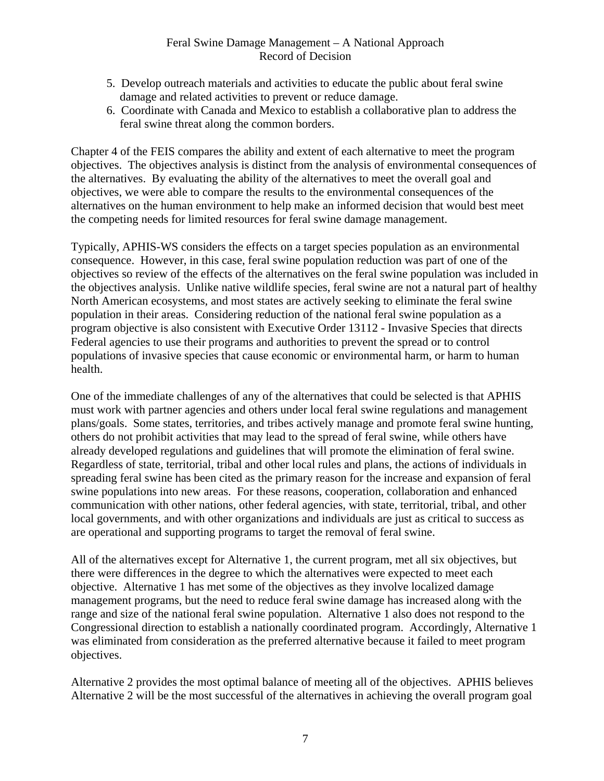- 5. Develop outreach materials and activities to educate the public about feral swine damage and related activities to prevent or reduce damage.
- 6. Coordinate with Canada and Mexico to establish a collaborative plan to address the feral swine threat along the common borders.

Chapter 4 of the FEIS compares the ability and extent of each alternative to meet the program objectives. The objectives analysis is distinct from the analysis of environmental consequences of the alternatives. By evaluating the ability of the alternatives to meet the overall goal and objectives, we were able to compare the results to the environmental consequences of the alternatives on the human environment to help make an informed decision that would best meet the competing needs for limited resources for feral swine damage management.

Typically, APHIS-WS considers the effects on a target species population as an environmental consequence. However, in this case, feral swine population reduction was part of one of the objectives so review of the effects of the alternatives on the feral swine population was included in the objectives analysis. Unlike native wildlife species, feral swine are not a natural part of healthy North American ecosystems, and most states are actively seeking to eliminate the feral swine population in their areas. Considering reduction of the national feral swine population as a program objective is also consistent with Executive Order 13112 - Invasive Species that directs Federal agencies to use their programs and authorities to prevent the spread or to control populations of invasive species that cause economic or environmental harm, or harm to human health.

One of the immediate challenges of any of the alternatives that could be selected is that APHIS must work with partner agencies and others under local feral swine regulations and management plans/goals. Some states, territories, and tribes actively manage and promote feral swine hunting, others do not prohibit activities that may lead to the spread of feral swine, while others have already developed regulations and guidelines that will promote the elimination of feral swine. Regardless of state, territorial, tribal and other local rules and plans, the actions of individuals in spreading feral swine has been cited as the primary reason for the increase and expansion of feral swine populations into new areas. For these reasons, cooperation, collaboration and enhanced communication with other nations, other federal agencies, with state, territorial, tribal, and other local governments, and with other organizations and individuals are just as critical to success as are operational and supporting programs to target the removal of feral swine.

All of the alternatives except for Alternative 1, the current program, met all six objectives, but there were differences in the degree to which the alternatives were expected to meet each objective. Alternative 1 has met some of the objectives as they involve localized damage management programs, but the need to reduce feral swine damage has increased along with the range and size of the national feral swine population. Alternative 1 also does not respond to the Congressional direction to establish a nationally coordinated program. Accordingly, Alternative 1 was eliminated from consideration as the preferred alternative because it failed to meet program objectives.

Alternative 2 provides the most optimal balance of meeting all of the objectives. APHIS believes Alternative 2 will be the most successful of the alternatives in achieving the overall program goal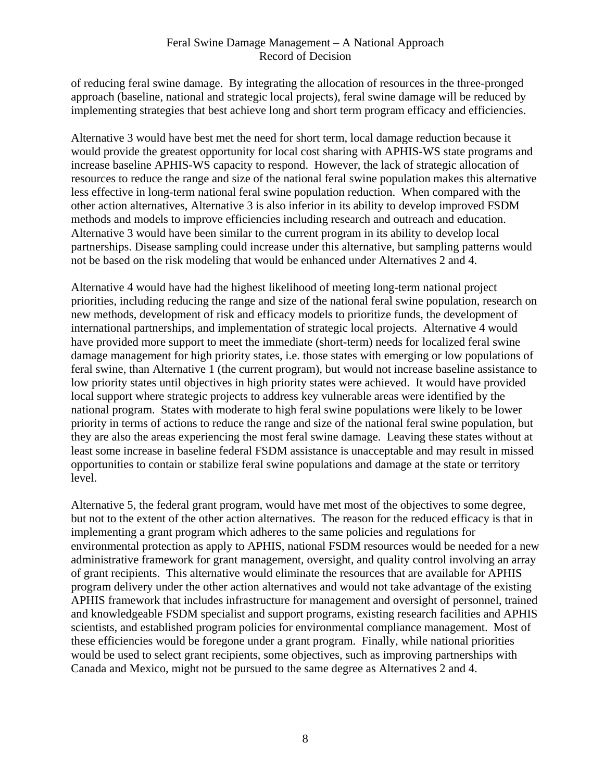of reducing feral swine damage. By integrating the allocation of resources in the three-pronged approach (baseline, national and strategic local projects), feral swine damage will be reduced by implementing strategies that best achieve long and short term program efficacy and efficiencies.

Alternative 3 would have best met the need for short term, local damage reduction because it would provide the greatest opportunity for local cost sharing with APHIS-WS state programs and increase baseline APHIS-WS capacity to respond. However, the lack of strategic allocation of resources to reduce the range and size of the national feral swine population makes this alternative less effective in long-term national feral swine population reduction. When compared with the other action alternatives, Alternative 3 is also inferior in its ability to develop improved FSDM methods and models to improve efficiencies including research and outreach and education. Alternative 3 would have been similar to the current program in its ability to develop local partnerships. Disease sampling could increase under this alternative, but sampling patterns would not be based on the risk modeling that would be enhanced under Alternatives 2 and 4.

Alternative 4 would have had the highest likelihood of meeting long-term national project priorities, including reducing the range and size of the national feral swine population, research on new methods, development of risk and efficacy models to prioritize funds, the development of international partnerships, and implementation of strategic local projects. Alternative 4 would have provided more support to meet the immediate (short-term) needs for localized feral swine damage management for high priority states, i.e. those states with emerging or low populations of feral swine, than Alternative 1 (the current program), but would not increase baseline assistance to low priority states until objectives in high priority states were achieved. It would have provided local support where strategic projects to address key vulnerable areas were identified by the national program. States with moderate to high feral swine populations were likely to be lower priority in terms of actions to reduce the range and size of the national feral swine population, but they are also the areas experiencing the most feral swine damage. Leaving these states without at least some increase in baseline federal FSDM assistance is unacceptable and may result in missed opportunities to contain or stabilize feral swine populations and damage at the state or territory level.

Alternative 5, the federal grant program, would have met most of the objectives to some degree, but not to the extent of the other action alternatives. The reason for the reduced efficacy is that in implementing a grant program which adheres to the same policies and regulations for environmental protection as apply to APHIS, national FSDM resources would be needed for a new administrative framework for grant management, oversight, and quality control involving an array of grant recipients. This alternative would eliminate the resources that are available for APHIS program delivery under the other action alternatives and would not take advantage of the existing APHIS framework that includes infrastructure for management and oversight of personnel, trained and knowledgeable FSDM specialist and support programs, existing research facilities and APHIS scientists, and established program policies for environmental compliance management. Most of these efficiencies would be foregone under a grant program. Finally, while national priorities would be used to select grant recipients, some objectives, such as improving partnerships with Canada and Mexico, might not be pursued to the same degree as Alternatives 2 and 4.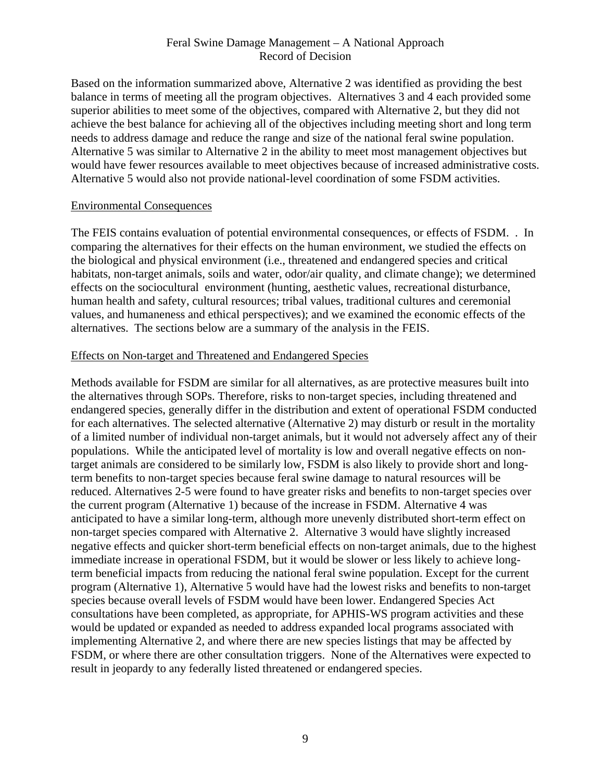Based on the information summarized above, Alternative 2 was identified as providing the best balance in terms of meeting all the program objectives. Alternatives 3 and 4 each provided some superior abilities to meet some of the objectives, compared with Alternative 2, but they did not achieve the best balance for achieving all of the objectives including meeting short and long term needs to address damage and reduce the range and size of the national feral swine population. Alternative 5 was similar to Alternative 2 in the ability to meet most management objectives but would have fewer resources available to meet objectives because of increased administrative costs. Alternative 5 would also not provide national-level coordination of some FSDM activities.

#### Environmental Consequences

The FEIS contains evaluation of potential environmental consequences, or effects of FSDM. . In comparing the alternatives for their effects on the human environment, we studied the effects on the biological and physical environment (i.e., threatened and endangered species and critical habitats, non-target animals, soils and water, odor/air quality, and climate change); we determined effects on the sociocultural environment (hunting, aesthetic values, recreational disturbance, human health and safety, cultural resources; tribal values, traditional cultures and ceremonial values, and humaneness and ethical perspectives); and we examined the economic effects of the alternatives. The sections below are a summary of the analysis in the FEIS.

#### Effects on Non-target and Threatened and Endangered Species

Methods available for FSDM are similar for all alternatives, as are protective measures built into the alternatives through SOPs. Therefore, risks to non-target species, including threatened and endangered species, generally differ in the distribution and extent of operational FSDM conducted for each alternatives. The selected alternative (Alternative 2) may disturb or result in the mortality of a limited number of individual non-target animals, but it would not adversely affect any of their populations. While the anticipated level of mortality is low and overall negative effects on nontarget animals are considered to be similarly low, FSDM is also likely to provide short and longterm benefits to non-target species because feral swine damage to natural resources will be reduced. Alternatives 2-5 were found to have greater risks and benefits to non-target species over the current program (Alternative 1) because of the increase in FSDM. Alternative 4 was anticipated to have a similar long-term, although more unevenly distributed short-term effect on non-target species compared with Alternative 2. Alternative 3 would have slightly increased negative effects and quicker short-term beneficial effects on non-target animals, due to the highest immediate increase in operational FSDM, but it would be slower or less likely to achieve longterm beneficial impacts from reducing the national feral swine population. Except for the current program (Alternative 1), Alternative 5 would have had the lowest risks and benefits to non-target species because overall levels of FSDM would have been lower. Endangered Species Act consultations have been completed, as appropriate, for APHIS-WS program activities and these would be updated or expanded as needed to address expanded local programs associated with implementing Alternative 2, and where there are new species listings that may be affected by FSDM, or where there are other consultation triggers. None of the Alternatives were expected to result in jeopardy to any federally listed threatened or endangered species.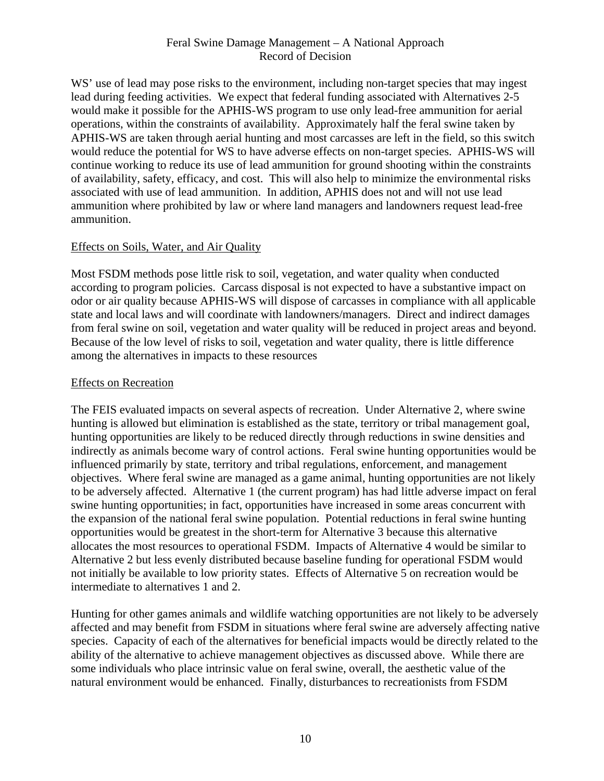WS' use of lead may pose risks to the environment, including non-target species that may ingest lead during feeding activities. We expect that federal funding associated with Alternatives 2-5 would make it possible for the APHIS-WS program to use only lead-free ammunition for aerial operations, within the constraints of availability. Approximately half the feral swine taken by APHIS-WS are taken through aerial hunting and most carcasses are left in the field, so this switch would reduce the potential for WS to have adverse effects on non-target species. APHIS-WS will continue working to reduce its use of lead ammunition for ground shooting within the constraints of availability, safety, efficacy, and cost. This will also help to minimize the environmental risks associated with use of lead ammunition. In addition, APHIS does not and will not use lead ammunition where prohibited by law or where land managers and landowners request lead-free ammunition.

## Effects on Soils, Water, and Air Quality

Most FSDM methods pose little risk to soil, vegetation, and water quality when conducted according to program policies. Carcass disposal is not expected to have a substantive impact on odor or air quality because APHIS-WS will dispose of carcasses in compliance with all applicable state and local laws and will coordinate with landowners/managers. Direct and indirect damages from feral swine on soil, vegetation and water quality will be reduced in project areas and beyond. Because of the low level of risks to soil, vegetation and water quality, there is little difference among the alternatives in impacts to these resources

#### Effects on Recreation

The FEIS evaluated impacts on several aspects of recreation. Under Alternative 2, where swine hunting is allowed but elimination is established as the state, territory or tribal management goal, hunting opportunities are likely to be reduced directly through reductions in swine densities and indirectly as animals become wary of control actions. Feral swine hunting opportunities would be influenced primarily by state, territory and tribal regulations, enforcement, and management objectives. Where feral swine are managed as a game animal, hunting opportunities are not likely to be adversely affected. Alternative 1 (the current program) has had little adverse impact on feral swine hunting opportunities; in fact, opportunities have increased in some areas concurrent with the expansion of the national feral swine population. Potential reductions in feral swine hunting opportunities would be greatest in the short-term for Alternative 3 because this alternative allocates the most resources to operational FSDM. Impacts of Alternative 4 would be similar to Alternative 2 but less evenly distributed because baseline funding for operational FSDM would not initially be available to low priority states. Effects of Alternative 5 on recreation would be intermediate to alternatives 1 and 2.

Hunting for other games animals and wildlife watching opportunities are not likely to be adversely affected and may benefit from FSDM in situations where feral swine are adversely affecting native species. Capacity of each of the alternatives for beneficial impacts would be directly related to the ability of the alternative to achieve management objectives as discussed above. While there are some individuals who place intrinsic value on feral swine, overall, the aesthetic value of the natural environment would be enhanced. Finally, disturbances to recreationists from FSDM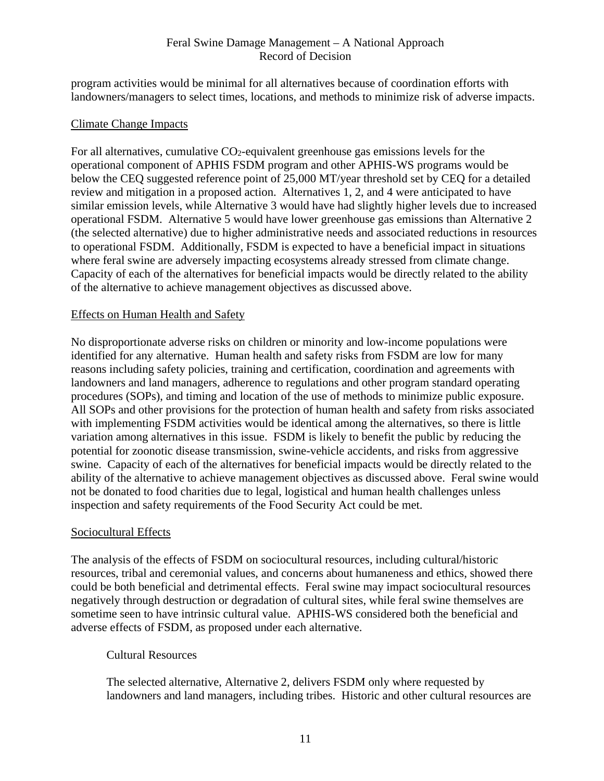program activities would be minimal for all alternatives because of coordination efforts with landowners/managers to select times, locations, and methods to minimize risk of adverse impacts.

#### Climate Change Impacts

For all alternatives, cumulative CO2-equivalent greenhouse gas emissions levels for the operational component of APHIS FSDM program and other APHIS-WS programs would be below the CEQ suggested reference point of 25,000 MT/year threshold set by CEQ for a detailed review and mitigation in a proposed action. Alternatives 1, 2, and 4 were anticipated to have similar emission levels, while Alternative 3 would have had slightly higher levels due to increased operational FSDM. Alternative 5 would have lower greenhouse gas emissions than Alternative 2 (the selected alternative) due to higher administrative needs and associated reductions in resources to operational FSDM. Additionally, FSDM is expected to have a beneficial impact in situations where feral swine are adversely impacting ecosystems already stressed from climate change. Capacity of each of the alternatives for beneficial impacts would be directly related to the ability of the alternative to achieve management objectives as discussed above.

#### Effects on Human Health and Safety

No disproportionate adverse risks on children or minority and low-income populations were identified for any alternative. Human health and safety risks from FSDM are low for many reasons including safety policies, training and certification, coordination and agreements with landowners and land managers, adherence to regulations and other program standard operating procedures (SOPs), and timing and location of the use of methods to minimize public exposure. All SOPs and other provisions for the protection of human health and safety from risks associated with implementing FSDM activities would be identical among the alternatives, so there is little variation among alternatives in this issue. FSDM is likely to benefit the public by reducing the potential for zoonotic disease transmission, swine-vehicle accidents, and risks from aggressive swine. Capacity of each of the alternatives for beneficial impacts would be directly related to the ability of the alternative to achieve management objectives as discussed above. Feral swine would not be donated to food charities due to legal, logistical and human health challenges unless inspection and safety requirements of the Food Security Act could be met.

## Sociocultural Effects

The analysis of the effects of FSDM on sociocultural resources, including cultural/historic resources, tribal and ceremonial values, and concerns about humaneness and ethics, showed there could be both beneficial and detrimental effects. Feral swine may impact sociocultural resources negatively through destruction or degradation of cultural sites, while feral swine themselves are sometime seen to have intrinsic cultural value. APHIS-WS considered both the beneficial and adverse effects of FSDM, as proposed under each alternative.

## Cultural Resources

The selected alternative, Alternative 2, delivers FSDM only where requested by landowners and land managers, including tribes. Historic and other cultural resources are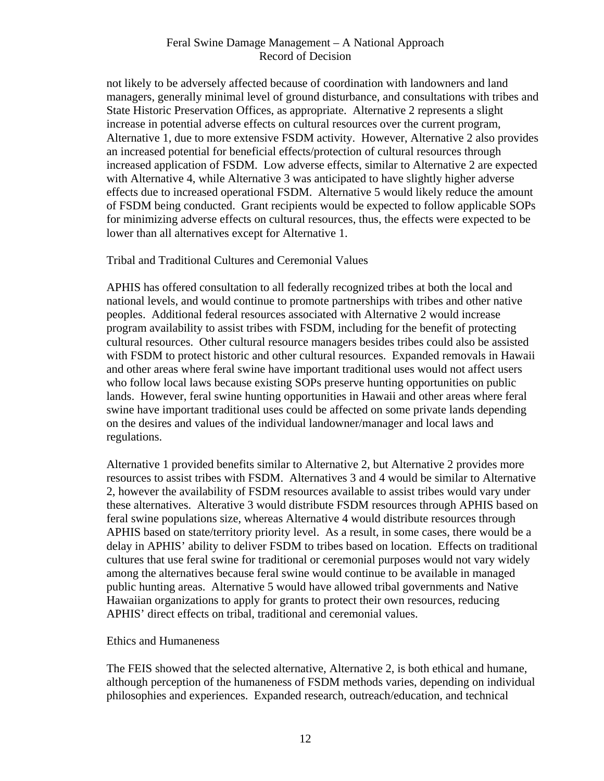not likely to be adversely affected because of coordination with landowners and land managers, generally minimal level of ground disturbance, and consultations with tribes and State Historic Preservation Offices, as appropriate. Alternative 2 represents a slight increase in potential adverse effects on cultural resources over the current program, Alternative 1, due to more extensive FSDM activity. However, Alternative 2 also provides an increased potential for beneficial effects/protection of cultural resources through increased application of FSDM. Low adverse effects, similar to Alternative 2 are expected with Alternative 4, while Alternative 3 was anticipated to have slightly higher adverse effects due to increased operational FSDM. Alternative 5 would likely reduce the amount of FSDM being conducted. Grant recipients would be expected to follow applicable SOPs for minimizing adverse effects on cultural resources, thus, the effects were expected to be lower than all alternatives except for Alternative 1.

Tribal and Traditional Cultures and Ceremonial Values

APHIS has offered consultation to all federally recognized tribes at both the local and national levels, and would continue to promote partnerships with tribes and other native peoples. Additional federal resources associated with Alternative 2 would increase program availability to assist tribes with FSDM, including for the benefit of protecting cultural resources. Other cultural resource managers besides tribes could also be assisted with FSDM to protect historic and other cultural resources. Expanded removals in Hawaii and other areas where feral swine have important traditional uses would not affect users who follow local laws because existing SOPs preserve hunting opportunities on public lands. However, feral swine hunting opportunities in Hawaii and other areas where feral swine have important traditional uses could be affected on some private lands depending on the desires and values of the individual landowner/manager and local laws and regulations.

Alternative 1 provided benefits similar to Alternative 2, but Alternative 2 provides more resources to assist tribes with FSDM. Alternatives 3 and 4 would be similar to Alternative 2, however the availability of FSDM resources available to assist tribes would vary under these alternatives. Alterative 3 would distribute FSDM resources through APHIS based on feral swine populations size, whereas Alternative 4 would distribute resources through APHIS based on state/territory priority level. As a result, in some cases, there would be a delay in APHIS' ability to deliver FSDM to tribes based on location. Effects on traditional cultures that use feral swine for traditional or ceremonial purposes would not vary widely among the alternatives because feral swine would continue to be available in managed public hunting areas. Alternative 5 would have allowed tribal governments and Native Hawaiian organizations to apply for grants to protect their own resources, reducing APHIS' direct effects on tribal, traditional and ceremonial values.

#### Ethics and Humaneness

The FEIS showed that the selected alternative, Alternative 2, is both ethical and humane, although perception of the humaneness of FSDM methods varies, depending on individual philosophies and experiences. Expanded research, outreach/education, and technical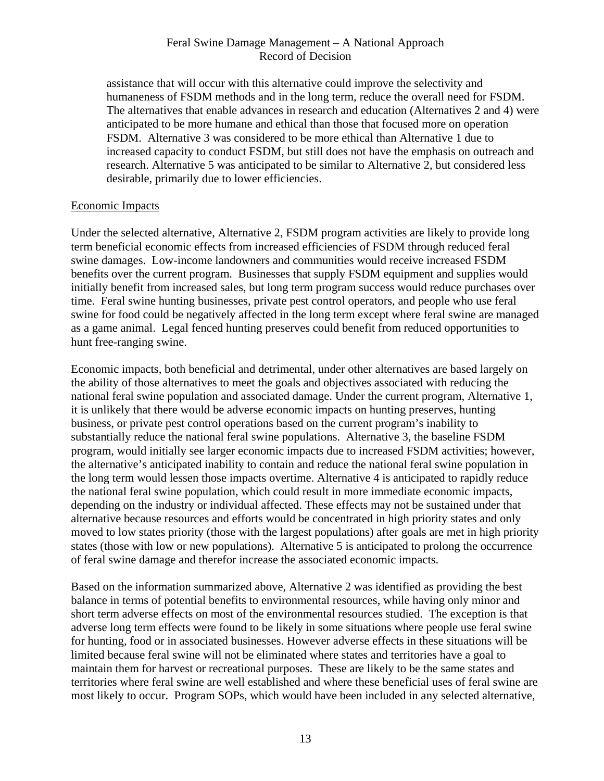assistance that will occur with this alternative could improve the selectivity and humaneness of FSDM methods and in the long term, reduce the overall need for FSDM. The alternatives that enable advances in research and education (Alternatives 2 and 4) were anticipated to be more humane and ethical than those that focused more on operation FSDM. Alternative 3 was considered to be more ethical than Alternative 1 due to increased capacity to conduct FSDM, but still does not have the emphasis on outreach and research. Alternative 5 was anticipated to be similar to Alternative 2, but considered less desirable, primarily due to lower efficiencies.

#### Economic Impacts

Under the selected alternative, Alternative 2, FSDM program activities are likely to provide long term beneficial economic effects from increased efficiencies of FSDM through reduced feral swine damages. Low-income landowners and communities would receive increased FSDM benefits over the current program. Businesses that supply FSDM equipment and supplies would initially benefit from increased sales, but long term program success would reduce purchases over time. Feral swine hunting businesses, private pest control operators, and people who use feral swine for food could be negatively affected in the long term except where feral swine are managed as a game animal. Legal fenced hunting preserves could benefit from reduced opportunities to hunt free-ranging swine.

Economic impacts, both beneficial and detrimental, under other alternatives are based largely on the ability of those alternatives to meet the goals and objectives associated with reducing the national feral swine population and associated damage. Under the current program, Alternative 1, it is unlikely that there would be adverse economic impacts on hunting preserves, hunting business, or private pest control operations based on the current program's inability to substantially reduce the national feral swine populations. Alternative 3, the baseline FSDM program, would initially see larger economic impacts due to increased FSDM activities; however, the alternative's anticipated inability to contain and reduce the national feral swine population in the long term would lessen those impacts overtime. Alternative 4 is anticipated to rapidly reduce the national feral swine population, which could result in more immediate economic impacts, depending on the industry or individual affected. These effects may not be sustained under that alternative because resources and efforts would be concentrated in high priority states and only moved to low states priority (those with the largest populations) after goals are met in high priority states (those with low or new populations). Alternative 5 is anticipated to prolong the occurrence of feral swine damage and therefor increase the associated economic impacts.

Based on the information summarized above, Alternative 2 was identified as providing the best balance in terms of potential benefits to environmental resources, while having only minor and short term adverse effects on most of the environmental resources studied. The exception is that adverse long term effects were found to be likely in some situations where people use feral swine for hunting, food or in associated businesses. However adverse effects in these situations will be limited because feral swine will not be eliminated where states and territories have a goal to maintain them for harvest or recreational purposes. These are likely to be the same states and territories where feral swine are well established and where these beneficial uses of feral swine are most likely to occur. Program SOPs, which would have been included in any selected alternative,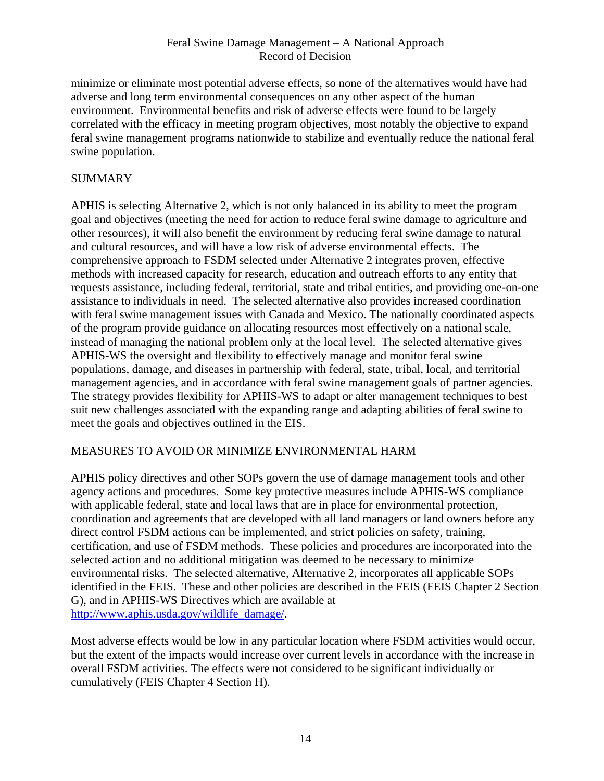minimize or eliminate most potential adverse effects, so none of the alternatives would have had adverse and long term environmental consequences on any other aspect of the human environment. Environmental benefits and risk of adverse effects were found to be largely correlated with the efficacy in meeting program objectives, most notably the objective to expand feral swine management programs nationwide to stabilize and eventually reduce the national feral swine population.

## SUMMARY

APHIS is selecting Alternative 2, which is not only balanced in its ability to meet the program goal and objectives (meeting the need for action to reduce feral swine damage to agriculture and other resources), it will also benefit the environment by reducing feral swine damage to natural and cultural resources, and will have a low risk of adverse environmental effects. The comprehensive approach to FSDM selected under Alternative 2 integrates proven, effective methods with increased capacity for research, education and outreach efforts to any entity that requests assistance, including federal, territorial, state and tribal entities, and providing one-on-one assistance to individuals in need. The selected alternative also provides increased coordination with feral swine management issues with Canada and Mexico. The nationally coordinated aspects of the program provide guidance on allocating resources most effectively on a national scale, instead of managing the national problem only at the local level. The selected alternative gives APHIS-WS the oversight and flexibility to effectively manage and monitor feral swine populations, damage, and diseases in partnership with federal, state, tribal, local, and territorial management agencies, and in accordance with feral swine management goals of partner agencies. The strategy provides flexibility for APHIS-WS to adapt or alter management techniques to best suit new challenges associated with the expanding range and adapting abilities of feral swine to meet the goals and objectives outlined in the EIS.

## MEASURES TO AVOID OR MINIMIZE ENVIRONMENTAL HARM

APHIS policy directives and other SOPs govern the use of damage management tools and other agency actions and procedures. Some key protective measures include APHIS-WS compliance with applicable federal, state and local laws that are in place for environmental protection, coordination and agreements that are developed with all land managers or land owners before any direct control FSDM actions can be implemented, and strict policies on safety, training, certification, and use of FSDM methods. These policies and procedures are incorporated into the selected action and no additional mitigation was deemed to be necessary to minimize environmental risks. The selected alternative, Alternative 2, incorporates all applicable SOPs identified in the FEIS. These and other policies are described in the FEIS (FEIS Chapter 2 Section G), and in APHIS-WS Directives which are available at http://www.aphis.usda.gov/wildlife\_damage/.

Most adverse effects would be low in any particular location where FSDM activities would occur, but the extent of the impacts would increase over current levels in accordance with the increase in overall FSDM activities. The effects were not considered to be significant individually or cumulatively (FEIS Chapter 4 Section H).